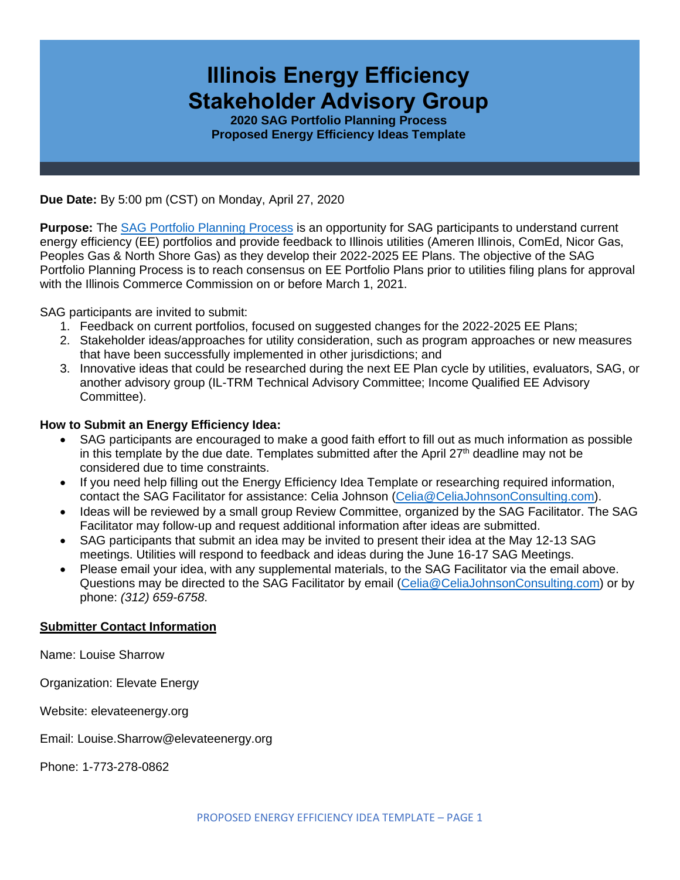# **Illinois Energy Efficiency Stakeholder Advisory Group**

**2020 SAG Portfolio Planning Process Proposed Energy Efficiency Ideas Template**

**Due Date:** By 5:00 pm (CST) on Monday, April 27, 2020

**Purpose:** The [SAG Portfolio Planning Process](https://www.ilsag.info/meetings/portfolio-planning-process/) is an opportunity for SAG participants to understand current energy efficiency (EE) portfolios and provide feedback to Illinois utilities (Ameren Illinois, ComEd, Nicor Gas, Peoples Gas & North Shore Gas) as they develop their 2022-2025 EE Plans. The objective of the SAG Portfolio Planning Process is to reach consensus on EE Portfolio Plans prior to utilities filing plans for approval with the Illinois Commerce Commission on or before March 1, 2021.

SAG participants are invited to submit:

- 1. Feedback on current portfolios, focused on suggested changes for the 2022-2025 EE Plans;
- 2. Stakeholder ideas/approaches for utility consideration, such as program approaches or new measures that have been successfully implemented in other jurisdictions; and
- 3. Innovative ideas that could be researched during the next EE Plan cycle by utilities, evaluators, SAG, or another advisory group (IL-TRM Technical Advisory Committee; Income Qualified EE Advisory Committee).

#### **How to Submit an Energy Efficiency Idea:**

- SAG participants are encouraged to make a good faith effort to fill out as much information as possible in this template by the due date. Templates submitted after the April  $27<sup>th</sup>$  deadline may not be considered due to time constraints.
- If you need help filling out the Energy Efficiency Idea Template or researching required information, contact the SAG Facilitator for assistance: Celia Johnson [\(Celia@CeliaJohnsonConsulting.com\)](mailto:Celia@CeliaJohnsonConsulting.com).
- Ideas will be reviewed by a small group Review Committee, organized by the SAG Facilitator. The SAG Facilitator may follow-up and request additional information after ideas are submitted.
- SAG participants that submit an idea may be invited to present their idea at the May 12-13 SAG meetings. Utilities will respond to feedback and ideas during the June 16-17 SAG Meetings.
- Please email your idea, with any supplemental materials, to the SAG Facilitator via the email above. Questions may be directed to the SAG Facilitator by email [\(Celia@CeliaJohnsonConsulting.com\)](mailto:Celia@CeliaJohnsonConsulting.com) or by phone: *(312) 659-6758*.

#### **Submitter Contact Information**

Name: Louise Sharrow

Organization: Elevate Energy

Website: elevateenergy.org

Email: Louise.Sharrow@elevateenergy.org

Phone: 1-773-278-0862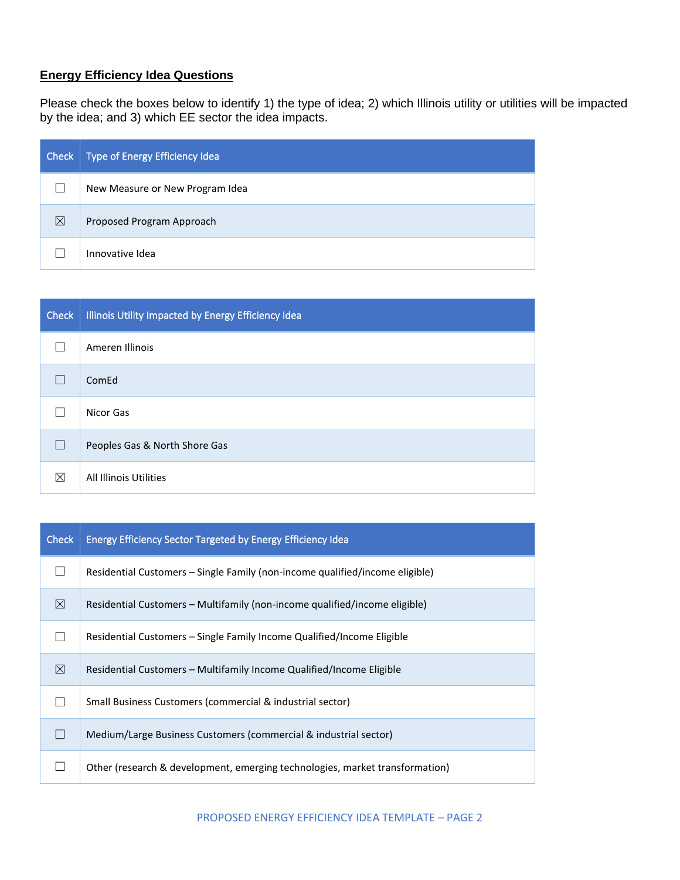# **Energy Efficiency Idea Questions**

Please check the boxes below to identify 1) the type of idea; 2) which Illinois utility or utilities will be impacted by the idea; and 3) which EE sector the idea impacts.

| <b>Check</b> | Type of Energy Efficiency Idea  |
|--------------|---------------------------------|
|              | New Measure or New Program Idea |
| ⊠            | Proposed Program Approach       |
|              | Innovative Idea                 |

| <b>Check</b> | Illinois Utility Impacted by Energy Efficiency Idea |
|--------------|-----------------------------------------------------|
|              | Ameren Illinois                                     |
|              | ComEd                                               |
|              | Nicor Gas                                           |
|              | Peoples Gas & North Shore Gas                       |
| ⊠            | All Illinois Utilities                              |

| <b>Check</b> | <b>Energy Efficiency Sector Targeted by Energy Efficiency Idea</b>           |
|--------------|------------------------------------------------------------------------------|
|              | Residential Customers – Single Family (non-income qualified/income eligible) |
| ⊠            | Residential Customers – Multifamily (non-income qualified/income eligible)   |
|              | Residential Customers – Single Family Income Qualified/Income Eligible       |
| ⊠            | Residential Customers – Multifamily Income Qualified/Income Eligible         |
|              | Small Business Customers (commercial & industrial sector)                    |
|              | Medium/Large Business Customers (commercial & industrial sector)             |
|              | Other (research & development, emerging technologies, market transformation) |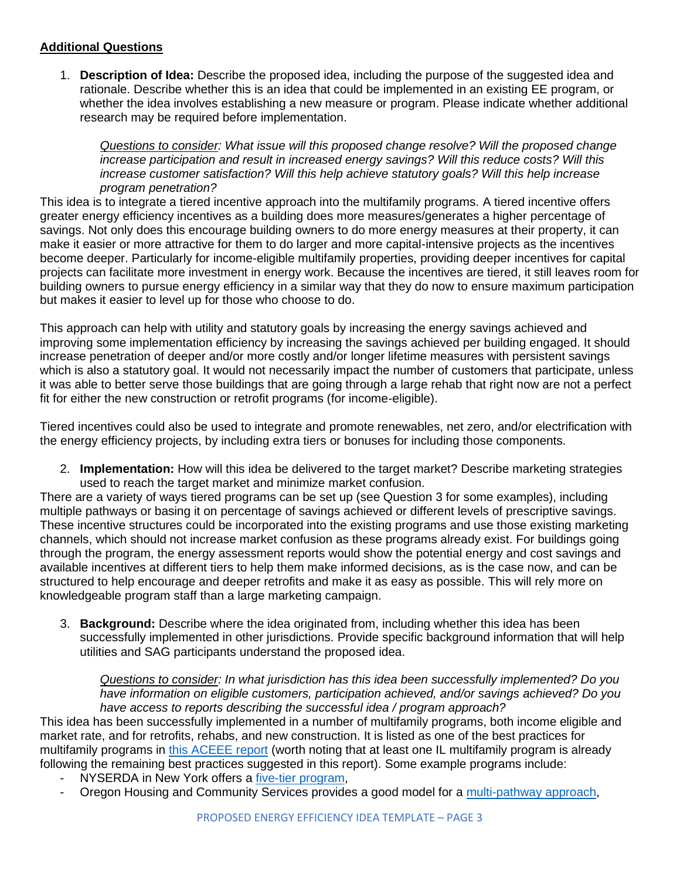### **Additional Questions**

1. **Description of Idea:** Describe the proposed idea, including the purpose of the suggested idea and rationale. Describe whether this is an idea that could be implemented in an existing EE program, or whether the idea involves establishing a new measure or program. Please indicate whether additional research may be required before implementation.

*Questions to consider: What issue will this proposed change resolve? Will the proposed change increase participation and result in increased energy savings? Will this reduce costs? Will this increase customer satisfaction? Will this help achieve statutory goals? Will this help increase program penetration?* 

This idea is to integrate a tiered incentive approach into the multifamily programs. A tiered incentive offers greater energy efficiency incentives as a building does more measures/generates a higher percentage of savings. Not only does this encourage building owners to do more energy measures at their property, it can make it easier or more attractive for them to do larger and more capital-intensive projects as the incentives become deeper. Particularly for income-eligible multifamily properties, providing deeper incentives for capital projects can facilitate more investment in energy work. Because the incentives are tiered, it still leaves room for building owners to pursue energy efficiency in a similar way that they do now to ensure maximum participation but makes it easier to level up for those who choose to do.

This approach can help with utility and statutory goals by increasing the energy savings achieved and improving some implementation efficiency by increasing the savings achieved per building engaged. It should increase penetration of deeper and/or more costly and/or longer lifetime measures with persistent savings which is also a statutory goal. It would not necessarily impact the number of customers that participate, unless it was able to better serve those buildings that are going through a large rehab that right now are not a perfect fit for either the new construction or retrofit programs (for income-eligible).

Tiered incentives could also be used to integrate and promote renewables, net zero, and/or electrification with the energy efficiency projects, by including extra tiers or bonuses for including those components.

2. **Implementation:** How will this idea be delivered to the target market? Describe marketing strategies used to reach the target market and minimize market confusion.

There are a variety of ways tiered programs can be set up (see Question 3 for some examples), including multiple pathways or basing it on percentage of savings achieved or different levels of prescriptive savings. These incentive structures could be incorporated into the existing programs and use those existing marketing channels, which should not increase market confusion as these programs already exist. For buildings going through the program, the energy assessment reports would show the potential energy and cost savings and available incentives at different tiers to help them make informed decisions, as is the case now, and can be structured to help encourage and deeper retrofits and make it as easy as possible. This will rely more on knowledgeable program staff than a large marketing campaign.

3. **Background:** Describe where the idea originated from, including whether this idea has been successfully implemented in other jurisdictions. Provide specific background information that will help utilities and SAG participants understand the proposed idea.

*Questions to consider: In what jurisdiction has this idea been successfully implemented? Do you have information on eligible customers, participation achieved, and/or savings achieved? Do you have access to reports describing the successful idea / program approach?* 

This idea has been successfully implemented in a number of multifamily programs, both income eligible and market rate, and for retrofits, rehabs, and new construction. It is listed as one of the best practices for multifamily programs in [this ACEEE report](https://www.aceee.org/files/pdf/resource/revising-multifamily-incentive-structure.pdf) (worth noting that at least one IL multifamily program is already following the remaining best practices suggested in this report). Some example programs include:

- NYSERDA in New York offers a [five-tier program,](https://www.nyserda.ny.gov/All-Programs/Programs/MPP-Existing-Buildings/Incentives-and-Financing)
- Oregon Housing and Community Services provides a good model for a [multi-pathway approach,](https://oregonmultifamilyenergy.com/wp-content/uploads/2019/10/OHCS-Multifamily-Energy-Program-Manual-1.pdf)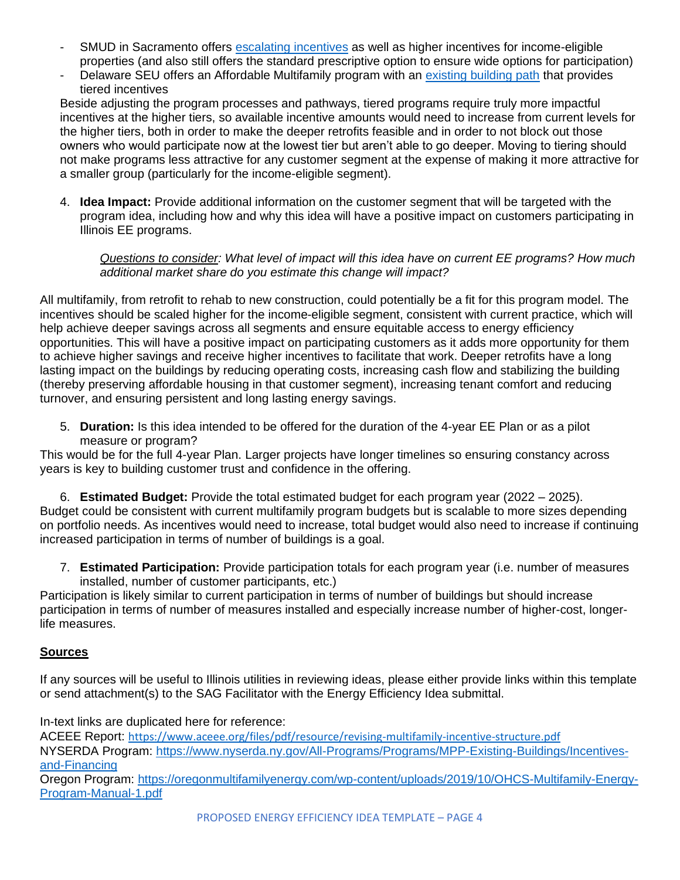- SMUD in Sacramento offers [escalating incentives](https://www.smud.org/en/Business-Solutions-and-Rebates/Business-Rebates/Multi-Family-Housing-Rebates/Multi-Family-Custom) as well as higher incentives for income-eligible properties (and also still offers the standard prescriptive option to ensure wide options for participation)
- Delaware SEU offers an Affordable Multifamily program with an [existing building path](https://www.energizedelaware.org/residential/affordable-multifamily-housing/) that provides tiered incentives

Beside adjusting the program processes and pathways, tiered programs require truly more impactful incentives at the higher tiers, so available incentive amounts would need to increase from current levels for the higher tiers, both in order to make the deeper retrofits feasible and in order to not block out those owners who would participate now at the lowest tier but aren't able to go deeper. Moving to tiering should not make programs less attractive for any customer segment at the expense of making it more attractive for a smaller group (particularly for the income-eligible segment).

4. **Idea Impact:** Provide additional information on the customer segment that will be targeted with the program idea, including how and why this idea will have a positive impact on customers participating in Illinois EE programs.

*Questions to consider: What level of impact will this idea have on current EE programs? How much additional market share do you estimate this change will impact?*

All multifamily, from retrofit to rehab to new construction, could potentially be a fit for this program model. The incentives should be scaled higher for the income-eligible segment, consistent with current practice, which will help achieve deeper savings across all segments and ensure equitable access to energy efficiency opportunities. This will have a positive impact on participating customers as it adds more opportunity for them to achieve higher savings and receive higher incentives to facilitate that work. Deeper retrofits have a long lasting impact on the buildings by reducing operating costs, increasing cash flow and stabilizing the building (thereby preserving affordable housing in that customer segment), increasing tenant comfort and reducing turnover, and ensuring persistent and long lasting energy savings.

5. **Duration:** Is this idea intended to be offered for the duration of the 4-year EE Plan or as a pilot measure or program?

This would be for the full 4-year Plan. Larger projects have longer timelines so ensuring constancy across years is key to building customer trust and confidence in the offering.

6. **Estimated Budget:** Provide the total estimated budget for each program year (2022 – 2025). Budget could be consistent with current multifamily program budgets but is scalable to more sizes depending on portfolio needs. As incentives would need to increase, total budget would also need to increase if continuing increased participation in terms of number of buildings is a goal.

7. **Estimated Participation:** Provide participation totals for each program year (i.e. number of measures installed, number of customer participants, etc.)

Participation is likely similar to current participation in terms of number of buildings but should increase participation in terms of number of measures installed and especially increase number of higher-cost, longerlife measures.

## **Sources**

If any sources will be useful to Illinois utilities in reviewing ideas, please either provide links within this template or send attachment(s) to the SAG Facilitator with the Energy Efficiency Idea submittal.

In-text links are duplicated here for reference:

ACEEE Report: <https://www.aceee.org/files/pdf/resource/revising-multifamily-incentive-structure.pdf> NYSERDA Program: [https://www.nyserda.ny.gov/All-Programs/Programs/MPP-Existing-Buildings/Incentives](https://www.nyserda.ny.gov/All-Programs/Programs/MPP-Existing-Buildings/Incentives-and-Financing)[and-Financing](https://www.nyserda.ny.gov/All-Programs/Programs/MPP-Existing-Buildings/Incentives-and-Financing)

Oregon Program: [https://oregonmultifamilyenergy.com/wp-content/uploads/2019/10/OHCS-Multifamily-Energy-](https://oregonmultifamilyenergy.com/wp-content/uploads/2019/10/OHCS-Multifamily-Energy-Program-Manual-1.pdf)[Program-Manual-1.pdf](https://oregonmultifamilyenergy.com/wp-content/uploads/2019/10/OHCS-Multifamily-Energy-Program-Manual-1.pdf)